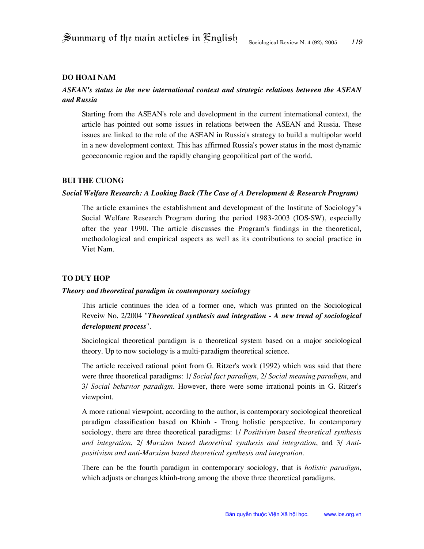### **Do Hoai Nam**

# *ASEAN's status in the new international context and strategic relations between the ASEAN and Russia*

Starting from the ASEAN's role and development in the current international context, the article has pointed out some issues in relations between the ASEAN and Russia. These issues are linked to the role of the ASEAN in Russia's strategy to build a multipolar world in a new development context. This has affirmed Russia's power status in the most dynamic geoeconomic region and the rapidly changing geopolitical part of the world.

#### **bui the cuong**

### *Social Welfare Research: A Looking Back (The Case of A Development & Research Program)*

The article examines the establishment and development of the Institute of Sociology's Social Welfare Research Program during the period 1983-2003 (IOS-SW), especially after the year 1990. The article discusses the Program's findings in the theoretical, methodological and empirical aspects as well as its contributions to social practice in Viet Nam.

## **To Duy Hop**

### *Theory and theoretical paradigm in contemporary sociology*

This article continues the idea of a former one, which was printed on the Sociological Reveiw No. 2/2004 "*Theoretical synthesis and integration - A new trend of sociological development process*".

Sociological theoretical paradigm is a theoretical system based on a major sociological theory. Up to now sociology is a multi-paradigm theoretical science.

The article received rational point from G. Ritzer's work (1992) which was said that there were three theoretical paradigms: 1/ *Social fact paradigm*, 2/ *Social meaning paradigm*, and 3/ *Social behavior paradigm*. However, there were some irrational points in G. Ritzer's viewpoint.

A more rational viewpoint, according to the author, is contemporary sociological theoretical paradigm classification based on Khinh - Trong holistic perspective. In contemporary sociology, there are three theoretical paradigms: 1/ *Positivism based theoretical synthesis and integration*, 2/ *Marxism based theoretical synthesis and integration*, and 3/ *Antipositivism and anti-Marxism based theoretical synthesis and integration*.

There can be the fourth paradigm in contemporary sociology, that is *holistic paradigm*, which adjusts or changes khinh-trong among the above three theoretical paradigms.